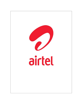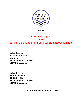

Bus 400

# Internship report **On** Employee Engagement of Airtel Bangladesh Limited

**Submitted to Raihana Mannan Lecturer BRAC Business School BRAC University**

**Submitted by Nadiba Rahman ID: 08304007 BRAC Business School BRAC University**

**Date of Submission: May 30, 2013**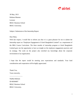

30 May, 2013 Raihana Mannan Lecturer BRAC Business School BRAC University.

Subject: Submission of the Internship Report.

Dear Mam,

With due respect, I would like to inform you that it is a great pleasure for me to submit the Internship report on "Employee Engagement of Airtel Bangladesh Limited" as a requirement of the BBA Course Curriculum. The three months of internship program at Airtel Bangladesh Limited gave me the opportunity to have an insight on the employee engagement practices and its strategy. The work on the project also enriched my knowledge about the corporate environment of an organization.

I hope that the report would be meeting your expectations and standards. Your kind consideration and cooperation will be highly appreciated.

Thank You. Yours sincerely, ................................ Nadiba Rahman ID-08304007 BRAC Business School BRAC University.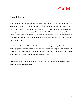

#### **Acknowledgement**

At first, I would like to convey my deep gratitude to my supervisor, Raihana Mannan, Lecturer-BBS, BRAC University for guiding me and for giving me the opportunity to initiate this report. Then I want to thank Airtel Bangladesh Limited (ABL) for giving me the opportunity to do my internship in the organization. My special thanks for Noor Mohammed, Chief Human Resource Officer at Airtel Bangladesh Limited. I would also like to thank cordially Mohammed Saiful Islam, Specialist, Talent Acquisition, who assigned me in the project and helped me in every step in the organization.

I want to thank Md Mehedi Hasan Bin Ghani, Executive, HR operations, who assisted me a lot for the preparation of this project. I am also very grateful to Shegufta Gani Ahmed, HR Coordinator and Mosaddek Hossain Khan, Assistant Manager, Administration, unless their support the research survey would have been difficult for me.

I also would like to thank BRAC University authority for their library and internet facilities from where I got enormous information.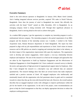

#### **Executive Summary**

Airtel is the sixth telecom operators in Bangladesh. In January 2010, Bharti Airtel Limited, Asia's leading integrated telecom services provider, acquired 70% stake in Warid Telecom, Bangladesh. Since then the journey of airtel in Bangladesh has started. But officially the activities with the brand "Airtel" started on 20th, December, 2011 in Bangladesh. As an emerging company Airtel is doing extremely well. Through their significant advances in Bangladesh, Airtel is moving ahead on the track to achieve their goals.

As a student BBA program, I got the opportunity to complete my internship program in such a multinational telecom company. The internship program is the partial requirement of my BBA program and the duration of the internship session was 3 months. I worked in the Talent Acquisition team, Human Resource department of Airtel Bangladesh. The report has been prepared in align with my job responsibilities and experiences at Airtel. Airtel values its human resources and its HR policies are aimed at targeting and retaining best talent in the industry, as the direct impact of the organizations improvement falls upon the employees. The organization work to develop and nurture engagement, which requires a two-way relationship between employer and employee. The aim of this research is to find out the strategies and approaches that are taken by the Organization to build up Employee Engagement and the effectiveness of Employee Engagement in Airtel Bangladesh Ltd. I have conducted a research survey to identify the tactics and approaches of high perceived of organizational support taken by Employee. After that I have designed the research in a descriptive way and collected data are analyzed quantitatively. The research findings show that there are several factors that make employees satisfied and a positive outcome of Airtel. All engaged employees who intellectually and emotionally bound with the organization who feel passionate about its goals and its committed towards its values thus they go the extra mile beyond the basic job. However, the overall analysis describes that an engaged employee works with colleagues to improve performance within the job for the benefit of the organization. At the end of the project, some recommendations are given to help the Airtel management so that they can deploy appropriate decisions to reduce the employee working pressures.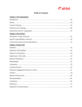

## **Table of Contents**

#### *Chapter-1 The Organization*

| <b>Chapter-2 My Job Part</b>  |  |
|-------------------------------|--|
|                               |  |
|                               |  |
|                               |  |
| <b>Chapter-3 Project Part</b> |  |
|                               |  |
|                               |  |
|                               |  |
|                               |  |
|                               |  |
|                               |  |
|                               |  |
|                               |  |
|                               |  |
|                               |  |
|                               |  |
|                               |  |
|                               |  |
|                               |  |
|                               |  |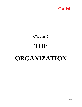

# *Chapter-1*

# **THE**

# **ORGANIZATION**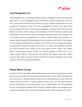

# **Airtel Bangladesh Ltd.**

Airtel Bangladesh Ltd. is a GSM-based cellular operator in Bangladesh. Airtel is the sixth mobile phone carrier to enter the Bangladesh market, and launched commercial operations on May 10, 2007. Airtel comes from Bharti Airtel Limited, one of Asia's leading integrated telecom services providers with operations in India, Sri Lanka and Bangladesh. In January 2010, Bharti Airtel Limited acquired 70% stake in Warid Telecom, Bangladesh, a subsidiary of the UAE-based Abu Dhabi Group. Bharti Airtel is making a fresh investment of USD 300 million to rapidly expand the operations of Warid Telecom and have management and board control of the company. This is the largest investment in Bangladesh by an Indian company. Dhabi Group continues as a strategic partner retaining 30% shareholding and has its nominees on the Board of the Company. The new funding is being utilised for expansion of the network, both for coverage and capacity, and introduction of innovative products and services. As a result of this additional investment, the overall investment in the company will be in the region of USD 1 billion. This is Bharti Airtel's second operation outside of India. The company launched its mobile services in Sri Lanka in January 2009 on a state-of-the-art 3.5G network. The company crossed the 1 million customers mark within six months of launch on the back of innovative offerings as well as rapid expansion of network coverage and distribution.

# **About Bharti Group**

Founded in 1976, by Sunil Bharti Mittal, Bharti has grown from being a manufacturer of bicycle parts to one of the largest and most respected business groups in India. With its entrepreneurial spirit and passion to undertake business projects that are transformational in nature, Bharti has created world-class businesses in telecom, financial services, retail, and foods. Bharti started its telecom services business by launching mobile services in Delhi (India) in 1995. Since then there has been no looking back and Bharti Airtel, the group's flagship company, has emerged as one of top telecom companies in the world and is amongst the top five wireless operators in the world.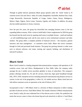

Through its global telecom operations Bharti group operates under the 'Airtel' brand in 19 countries across Asia and Africa– India, Sri Lanka, Bangladesh, Seychelles, Burkina Faso, Chad, Congo Brazzaville, Democratic Republic of Congo, Gabon, Ghana, Kenya, Madagascar, Malawi, Niger, Nigeria, Sierra Leone, Tanzania, Uganda, and Zambia. In addition, the group also has mobile operations in Jersey, Guernsey.

Over the past few years, the group has diversified into emerging business areas in the fast expanding Indian economy. With a vision to build India's finest conglomerate by 2020 the group has forayed into the retail sector by opening retail stores in multiple formats – small and medium - as well establishing large scale cash & carry stores to serve institutional customers and other retailers. The group offers a complete portfolio of financial services – life insurance, general insurance and asset management – to customers across India. Bharti also serves customers through its fresh and processed foods business. The group has growing interests in other areas such as telecom software, real estate, training and capacity building, and distribution of telecom/IT products.

# **Bharti Airtel**

Bharti Airtel Limited is a leading integrated telecommunications company with operations in 20 countries across Asia and Africa. Headquartered in New Delhi, India, the company ranks amongst the top 5 mobile service providers globally in terms of subscribers. The company's product offerings include 2G, 3G and 4G services, fixed line, high speed broadband through DSL, IPTV, DTH, enterprise services including national & international long distance services to carriers. In the rest of the geographies, it offers 2G, 3G mobile services. Bharti Airtel had over 246 million customers across its operations at the end of February 2012

Incorporated in July 7, 1995 Bharti Airtel is a division of Bharti enterprises is India's leading provider of telecom services. Sunil Bharti Mittal, The founder chairman of Bharti enterpises(who owns Airtel) is today the most celebrated face of the telecom sector in India. He symbolizes the motto that success comes to those who dream big and work attentively to deliver it. Sunil Bharti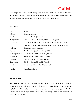

Mittal began his Journey manufacturing spare parts for bicycles in late 1970s. His strong entrepreneurial instincts gave him a unique talent for sensing new business opportunities. In the early years, bharti established itself as a supplier of basic telecom equipment.

## **Fact Sheet**

| Type:             | Private                                                      |
|-------------------|--------------------------------------------------------------|
| Industry:         | Telecommunication                                            |
| Founded:          | December 1, 2010 (Registration date)                         |
| Headquarters:     | House 34, Road 19/A, Banani, Dhaka 1213, Bangladesh          |
| Key people:       | Chris Tobit (CEO), Abhay Seth (CSMO), SK Muphopadhyay (CFO), |
|                   | Saad Ahmed (CTO), Rubaba Dowla (CSO), NoorMohammad (CHRO)    |
| Products:         | Telephony, mobile telephony                                  |
| Revenue:          | 117.213 billion (US\$2.12 billion) (2010)                    |
| Operating income: | 21.771 billion (US\$394.06 million) (2010)                   |
| Net income:       | 18.282 billion (US\$330.9 million) (2010)                    |
| Total assets:     | 856.142 billion (US\$15.5 billion) (2010)                    |
| Total equity:     | 502.603 billion (US\$9.1 billion) (2010)                     |
| Parent:           | Bharti Airtel 70% and Warid Telecom 30%                      |
| Website:          | http://bd.airtel.com/                                        |

# **Brand Airtel**

Airtel was born free, a force unleashed into the market with a relentless and unwavering determination to succeed. A spirit charged with energy, creativity and a team driven "to seize the day" with an ambition to become the most admired telecom service provider globally. Airtel has become one of the most preferable brands among the young people in just 12 months of operations in Bangladesh.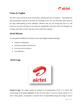

# **Vision & Tagline**

"By 2015 Airtel will be the most loved brand, enriching the lives of millions." "Enriching lives means putting the customer at the heart of everything we do. We will meet their needs based on our deep understanding of their ambitions, wherever they are. By having this focus we will enrich our own lives and those of our other key stakeholders. Only then will we be thought of as exciting, innovation, on their side and a truly world class company."

# **Airtel Mission**

To meet global Standards for telecom services that delight customers through:

- Empowers Employees
- Innovative products and services
- Error-free service delivery
- Cost efficiency

## **Airtel Logo**



**Symbol & logo**: The unique symbol of company is an interpretation of the 'a' in Airtel. The curved shape & the gentle highlights on the red color make it warm & inviting, almost as if it were a living object. It represents a dynamic force of unparalleled energy that brings it and its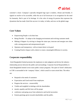

customer's closer. Company's specially designed logo type is modern, vibrant and friendly. It signals its resolve to be accessible, while the use of all lowercase is its recognition for the need for humanity. Red is part of its heritage. It is the color of energy  $\&$  passion that expresses the dynamism that has made Airtel the success it is today, in India, and now on the global stage.

## **Core Values**

- Empowering People- to do their best
- Being Flexible To adopt to the changing environment and evolving customer needs
- Making it Happen- by striving to change the status quo, innovate and energize new ideas with a strong passion and entrepreneurial spirit
- Openness and transparency- with an innate desire to do good
- Creating Positive Impact-with a desire to create a meaningful difference in society.

# **Corporate responsibility**

Airtel Bangladesh limited promotes the employees to take judgment and devise the industry relationship process between the public and surroundings. Corporate Social Responsibility in Airtel Bangladesh limited covers more public contact programs. The spirit of Airtel's dedication to CSR is surrounded in the 'company Values', which curtail its warm seized idea. The ethics are:

- Respond to the needs of customers
- Expectation and Good result From employees
- Progress the services resourcefully
- Visible and insightful in dealings with the shareholders
- morals, equality and life form will be proper
- conference and going away from submissive and lawful necessities
- Esteem greetings given towards shareholders and the public.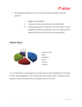

- Developing the atmosphere CSR way of life and pledge all through a three-split approach:
	- i. Engage with shareholders
	- ii. Guarantee the policies and performs to the Shareholders
	- iii. Conducting programs for employees, and for the public. In Airtel Bangladesh Limited, each employee is aware to Corporate Social Responsibility issues and thus procedures are prejudiced



As at 31 March 2012, Grameenphone had a market share of 42.2%, Banglalink (27.5%), Robi (19.8%), Airtel Bangladesh (7.1%), Citycell (2.0%) and Teletalk (1.4%). Competition among operators is intense and tariff levels are among the lowest in the world.

# **Market Share**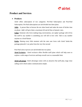

# **Product and Services**

#### • **Products**

Airtel offers subscription of two categories: Pre-Paid Subscription and Post-Paid Subscription. Pre-Paid subscriptions are sub-divided into three plans:

**Adda**: A person likes to browse the net when bored and make the most of his/her time on phone. 'adda' will give them a maximum fnf and all that at fantastic rates.

**Golpo**: Someone who loves making long conversations, our 'golpo' package with 24 hrs flat tariff to any number is something you will fall in love with. Talk to any number anytime at a fixed flatrate

**[Kotha](http://www.djuice.com/)**: Sharing every little moment with the ones user loves with Airtel 'kotha'-the package planwith 1 sec pulse from the very first second

Post-Paid subscriptions are sub-divided into two plans:

**Airtel Exclusive** - Airtel exclusive offers flexible tariff plans which will help users to explore a wide range of services and keep overall cost to a reasonable limit.

**Airtel advantage**- Airtel advantage comes with an attractive flat tariff plan, large close calling circle which makes communication simple.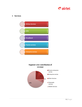

• **Services**



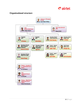# $\partial$  airtel

# **Organizational structure**

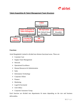

### **Talent Acquisition & Talent Management Team Structure** :



#### **Functions**

Airtel Bangladesh Limited is divided into thirteen functional areas. These are:

- Customer Care
- $\triangleright$  Supply Chain Management
- $\triangleright$  Network
- ▶ Operational Excellence
- $\triangleright$  Human Resources & Administration
- $\triangleright$  Sales
- $\triangleright$  Information Technology
- Corporate Affairs
- $\triangleright$  Finance
- $\triangleright$  Marketing
- Legal & Secretarial
- CEO Office
- $\triangleright$  Corporate Assurance Group

Each function are divided into departments & teams depending on the size and business deliverables.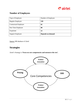

# **Number of Employees**

| Type of Employee            | Number of Employee       |
|-----------------------------|--------------------------|
| <b>Regular Employee</b>     | 539                      |
| <b>Contractual Employee</b> | 02                       |
| Part Time Employee          | 00                       |
| Expatriate                  | 12                       |
| <b>Support Employee</b>     | <b>Depends on demand</b> |

Source: HR database of Airtel

# **Strategies**

Airtel's Strategy is **'Focus on core competencies and outsource the rest'.** 

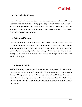

#### • **Cost leadership Strategy**

A firm gains cost leadership in an industry when its cost of production is lower and hat of its competitors. Airtel has gain cost leadership by managing its processes and resources efficiently and effectively. By bringing down its operational costs, airtel has offered its products and services at lower prices. It has also earned higher profits because either the profit margins are greater or the sales volume has increased.

#### • **Differential Strategy**

The differential strategy adopted by the firms needs to process sufficient skills and abilities to differentiate the product from that of the competitors based on attributes that allow the consumers to perceive the product that as different from that of the competition. Some differential strategy adopted by airtel are- Best service provider, good call center service in local language, good service in remote areas, new initiatives like Google search on airtel live, downloads, banking etc.

#### • **Marketing Strategy**

Airtel provides both post-paid and pre-paid connection plans. The post-paid plan is branded and marketed across the country under the name airtel Postpaid, which means leader or royalty. The pre-paid segment is branded and marketed as airtel Prepaid. Airtel-Postpaid and Airtel Prepaid user enjoy various value added services(VAS), such as SMS, MMS, GPRS, 64K SIM, Dual SIM product, Corporate packages for product advertising via SMS, and a host of other features.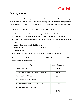

# **Industry analysis**

An Overview of Mobile industry and telecommunication industry in Bangladesh is in emerging stage, experiencing robust growth. The mobile industry grew 50 percent in Bangladesh with mobile users increasing from 53.83 million in January 2010 to 80.91 million in September 2011.

Currently there are 6 mobile operators in Bangladesh. They are namely-

- **Grameenphone** Joint venture ownership 62%Telenor and 38%Grameen Telecom .
- **Banglalink** Joint venture with Orascom Telecom Co. originated from Egypt.
- **Robi** Joint venture between Telecom Malaysia Berhad TM and A. K. Khan& company limited
- **Airtel** Concern of Bharti Airtel Limited.
- **TeleTalk** Public limited company but 100% share have been owned by the government of Bangladesh.
- **Citycell** Joint venture with SingTel Asia pacific investment Pvt. limited.

The total number of Mobile Phone subscribers has reached **93.788 million** at the end of **June 2012**. The Mobile Phone subscribers are shown below:

| <b>Operators</b>                                | <b>Active Subscribers</b> |
|-------------------------------------------------|---------------------------|
| Grameen Phone Ltd. (GP)                         | 39.293                    |
| Orascom Telecom Bangladesh Limited (Banglalink) | 25.490                    |
| Robi Axiata Limited (Robi)                      | 19.211                    |
| Airtel Bangladesh Limited (Airtel)              | 6.734                     |
| Pacific Bangladesh Telecom Limited (Citycell)   | 1.699                     |
| Teletalk Bangladesh Ltd. (Teletalk)             | 1.358                     |
| <b>Total</b>                                    | 93.788                    |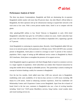

#### **Performance Analysis of Airtel**

The three top players Grameenphone, Banglalink and Robi are dominating the six-operator Bangladesh mobile market with more than 90 percent share. Just after Bharti's official debut in Bangladesh, the three operators tied up for infrastructure sharing to expand their network to the rural areas at low costs. With a seven percent market share, Airtel is set to compete with the giants.

After splashing \$300 million to buy Warid Telecom in Bangladesh in early 2010, Airtel Bangladesh's subscriber base grew by 2.29 million in almost two years. Airtel's subscriber base grew from 3.01 million in January 2010 to 5.29 million in September 2011, registering a growth of 75 percent.

Airtel Bangladesh in continuing its [expansion](http://www.airtel.in/wps/wcm/connect/About%20Bharti%20Airtel/bharti+airtel/media+centre/bharti+airtel+news/mobile/airtel_bangladesh_crosses_milestone_of_5_million_customers) plans. Recently, Airtel Bangladesh added 160 new towns to its network spread, which penetrates to 2100 plus towns. With 2220 BTS sites currently present in Bangladesh, Airtel plans to extend its coverage to reach 72 percent of the country's population. With a target of setting up 600 additional service centers in Bangladesh by March 2012 timeframe, Airtel plans to strengthen the presence of its support services.

Airtel Bangladesh signed an agreement with Dutch Bangla Bank to launch m-commerce services to a larger segment of population. Airtel subscribers can conduct their financial transactions by using their mobile device through an affordable process. This partnership is aimed at making the concept of inclusive banking a reality for customers in Bangladesh.

Over the last few months, Airtel added more than 1,500 new network sites in Bangladesh, establishing wide scale availability of its best-in-class services in 4,350 towns including 398 thanas & 2,158 unions. Aimed at enhancing customer experience, Airtel has established 124 Relationship Centers and 6 Experience Centers across Bangladesh. Apart from the re-launch of brand Airtel in the last year, customers in Bangladesh also saw a host of exciting launches including 'Airtel Live' WAP portal, BlackBerry services, Song Catcher, vessel weather alerts and vessel tracking services etc.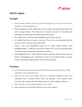

# **SWOT anlysis**

# **Strength**

- Airtel provides verities of products for different segment with a low price rate which is strength for Airtel Bangladesh Ltd.
- Other stakeholders in Airtel include Sony-Ericsson, Nokia, and Samsung with whom they hold a strategic alliance. This means that the business has access to knowledge and technology from other parts of the telecommunications world.
- The company has covered the entire Bangladesh nation with its network.
- As a global brand Airtel is known to everyone. They are the most admirable brand and now their vision is to be the most lovable brand.
- Within 3 years Airtel Bangladesh became the  $4<sup>th</sup>$  largest mobile operator. Airtel Bangladesh added 1, 14,000 new subscribers in March 2012. With an increasing number of subscribers they are gaining a large number of revenue
- Airtel Bangladesh has 6.7 million mobile customers and offers mobile services across 64 districts of Bangladesh with a distribution network of over 59,665 retailers across the country. With superior quality product Airtel keep their promises

## **Weakness**

- Due to different target markets and no of different kind of services, Airtel face to high expenditures and manufacturing cost.
- Airtel did not own its own towers, which was a particular strength of some of its competitors such as Grameen Phone. Towers are important if one company wishes to provide wide coverage nationally. Besides this some other weakness of Airtel are
- Airtel still does not have separate strategy for rural market
- Some customers are not satisfied with the services of the company.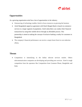

# **Opportunities**

As a growing organization airtel has a lots of opportunities in the industry.

- Outsourcing of technology enables Airtel to focus resources on growing the business
- Airtel Bangladesh signed an agreement with Dutch Bangla Bank to launch m-commerce services to a larger segment of population. Airtel subscribers can conduct their financial transactions by using their mobile device through an affordable process. This partnership is aimed at making the concept of inclusive banking a reality for customers in Bangladesh
- The company's financial performance can receive a major boost from its cost reduction efforts.

## **Threats**

• Competition is intensifying in the Indian telecom services market. Others telecommunication companies are developing and providing new services Airtel is tough competition from the operators like Competition from Grameen Phone, Banglalink and Robi.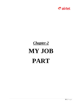

# *Chapter-2*

# **MY JOB PART**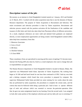

# **Description/ nature of the job:**

My journey as an internee in Airtel Bangladesh Limited started on 1 January, 2013 and finished on 31 March, 2013. I worked with the talent acquisition team that is one the domains of Human Resource department. The purpose of Talent Acquisition is Recruitment and Selection. The entire recruitment and selection procedure is done by Talent acquisition. Recruitment and selection process started with the position activation till the finalization of the candidate and issuance of offer letter and Airtel also takes help from Placement offices of different universities. As a result, employee references are more valid and talented fresh graduates are employed directly, so more employment opportunities are being created. Airtel Bangladesh Limited (ABL) takes help from consultancy firms like:

- 1. Monowar Associates
- 2. Grow n Excel
- 3. HR Kites
- 4. Absolute Solution
- 5. E-Zone HRM

These consultancy firms are specialized in sourcing and the source of getting CVs become more. Internal Job Posting (IJP) also done by Airtel as a result employees who want to change their job or responsibilities can apply easily.

The Human Resource department of Airtel Bangladesh limited is located in Banani, Dhaka. My supervisor was Mohammed Saiful Islam, Specialist of Talent Acquisition. My working hour began at 10 AM and had lunch break for one hour then continued to 6 PM. I had my own desk and a desktop computer which found that every procedure is prepared by computer. My supervisor Mohammed Saiful Islam provided me some training for two weeks about the tasks that are performed by talent acquisition, the procedures to complete the certain tasks, and the criteria that must be followed while doing a particular job. I had to learn to operate different type of tools and software which was essential to execute the particular operation. After that, he gave me some assignments based on my learning. From the second week, I was assigned to look after some portion of the employee selection part and my daily job was to screening CV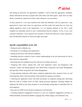

and setting up interviews for appropriate candidates. I had to keep the appropriate candidates details information and had to prepare their offer letters and other papers. Apart from my daily duties, I assisted my supervisors at their works whenever it was necessary.

As days passed by, I was more attached with Airtel and definitely with my supervisors. I got appraised for many times from my supervisors and that made feel proud that my work was adding significant value to the organization. It is an immense pleasure to me, that I could complete my internship session in such a multinational telecom company. To me, it was a true corporate orientation. I have enjoyed every moment in Airtel and achieved so many experiences that will absolutely help me to choose my right career path.

#### **Specific responsibilities of my Job:**

- Posting for jobs in Bdjobs.com.
- Screening CVs according to job requirement.
- Setting up interviews with selected candidates.
- Attending interview sessions to have a better understanding on the job interviewed for and to learn interview taking skills.
- Informing selected candidates from first interview for further interviews.
- Preparing offer letters, making files with each employees names and designation with Function's names and taking signature from Head-Talent Acquisition and Talent Management and Specialist-Talent Acquisition and Talent Management.
- Giving potential employees offer letters, employee application form, insurance form; etc and informing them about which documents Airtel needed for employee enrolment.
- Collecting the application forms with other documents on employee joining date, describing them the Code of Conduct (COC) of ABL, taking necessary signatures, checking whether the employee has filled up the forms properly or not and finally storing them in individual files for each employee.
- Data entry for OPD of each month of employees of all functions.
- Assisting Employee Engagement Executive to carry out employee engagement activities on Pohela Baishakh, International Mother Language Day, Pohela Falgun, and Valentine"s Day.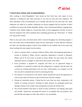

#### **Critical observations and recommendations**

After working in Airtel Bangladesh I have found out that Airtel have soft copies of every employee, so finding for data when necessary is very easy for each and every employee. The more noticeable is that all subordinates are so friendly and only the CEO and some very senior employees are called sir or madam. Employees are always engaged with fun activities at office on different occasions like Pohela Baishakh, Mother's Day, International Mother Language Day, Valentine's Day, Pohela Falgun etc. Except these there are also engagement activities at work to motivate employees like when somebody does something good they get "Well done" or "Thank you" tag on their cubicle.

There is also some critics and observation which I noticed throughout my internship program. I have also made some recommendation along with my observation. If some effective initiatives are taken, the internship program could be more helpful for the students and by the same time Airtel could get the most output from the interns.

- Airtel's corporate office is situated at Banani, Dhaka; Sales and marketing department is located at Gulshan-2, Dhaka; Service experience department is housed at Shyamoli, Dhaka; and IT & Call centre is located at Uttara, Dhaka. For that reason, the system requisition process is lengthy in Airtel due to the location of the office
- $\triangleright$  Every procedure is prepared by computer and there are no paperwork things to accomplish. It is required to replace the old configuration's computer with the faster one to boost up working performance and save time. Unfortunately, my computer was the slow one and it consumed more time for processing the data.
- $\triangleright$  Job rotation is not practiced to the interns. Interns should have given the opportunity to work in more than one function to get involved more with the company.
- $\triangleright$  During my internship session, I found that the work load was more comparing to the number of existing executives. Working on under pressure for prolonged period may damages stamina of the workers and consequently increases the mental stress.
- $\triangleright$  The overall treatment with intern in Airtel in terms of behavior was helping, quite good and friendly. Supervisors encourage the interns to accomplish their job properly; also provide help and support on their tasks which is very remarkable.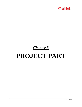

# *Chapter-3*

# **PROJECT PART**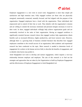# $\partial$  airtel

Employee engagement is a new term in social work. Engagement is more than simple job satisfaction and high retention rates. Fully engaged workers are those who are physically energized, emotionally connected, mentally focused, and feel aligned with the purpose of the organization. Engaged employees have a bond with the organization. These individuals feel empowered and in control of their fate at work. They identify with the organization's mission and are willing to commit the necessary emotional and personal energies necessary to excel in their work. In short, engaged individuals willingly help achieve organizations goals and are emotionally involved in the tasks of their organization. Having an engaged workforce is significantly essential because research shows that engaged workers help organizations obtain benefits such as increased efficiency, higher productivity, and lower turnover rates. However, although there is a growing body of business oriented literature that describes how engaged employees contribute to the overall success of an organization, little academic and experiential research has been conducted on the topic. More research is needed to determine levels of engagement for workers in the human services field, to describe the benefits of engagement, and to identify what factors may predict it.

Airtel Bangladesh Ltd work to develop and nurture engagement, which requires a two-way relationship between employer and employee. The aim of this research is to find out the strategies and approaches that are taken by the Organization to build up Employee Engagement and the effectiveness of Employee Engagement in Airtel Bangladesh Ltd.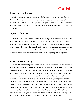

# **Statement of the Problem**

In order for telecommunication organizations and other businesses to be successful they must be able to employ people who will stay with the business and perform at high levels. It is assumed that employees with high perceived organizational support are more likely to stay. The study is conducted to identify the tactics and approaches taken by the Organization to build up Employee Engagement.

# **Objective of the study**

The purpose of this study was to examine employee engagement strategies taken by Airtel Bangladesh Ltd. Secondary Objective of this research was to find out the effectiveness of Employee Engagement in the organization. The exploratory research questions and hypotheses were developed following. Experiential studies on work engagement are limited and the literature is unclear as to which variables are the strongest predictors. Variables for this study were chosen by reviewing the limited data that are available regarding work engagement

## **Significance of the Study**

The results of this study will provide insight and information for practitioners, and researchers about employee engagement in Airtel Bangladesh ltd. Supervisor from the organization that was evaluated may benefit from the survey feedback, and could implement strategies for change that address participant responses. Administrators in other agencies can also benefit by understanding how critical engagement is, and that as a positive construct, it can be measured easily in a variety of settings. Once the level of employee engagement is measured, managers can develop and implement change strategies that would actually improve staff engagement in their organization, thereby potentially increasing the overall effectiveness of the organization. Additionally, practitioners who function in supervisory positions may benefit by understanding that staff usually adopt the characteristics and attitudes of their leaders, making it difficult for staff to be engaged unless the managers are. Supervisors should, therefore, work toward creating a work environment that lends itself to engagement from themselves and from the staff.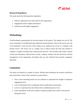

### **Research Hypotheses**

This study tested the following three hypotheses:

- 1. Effective approaches have been taken by the organization.
- 2. Engagement leads to higher performance
- 3. Satisfaction leads higher engagement.

# **Methodology**

I had developed a questionnaire for the data require for the project. The sample size was 50. The survey instrument is included both open ended and closed questions. Most of the survey was sent to the employee's work site and, in this setting, every employee has access to a computer with internet service. The survey was in a simple, easy to follow format and took only minutes to complete. To gather secondary data I did personal interview. The secondary data mainly consists of data and information collected from records, company websites and also discussion with the management of the organization. Secondary data was also collected from journals, magazines and books.

# **Limitations**

The study was limited by a number of factors. Without these limitations the research would have been much better. Some of the constraints are given below: -

- 1. Such a short internship period was not sufficient to understand the insights of employee engagement level.
- 2. Lack of information due to inadequate telecom publications and journals.
- 3. Lack of co-operation from the officials from confidential point of view.
- 4. Some respondents of the survey failed to response properly due to their work pressure during the survey.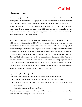

# **Literature review**

Employee engagement is the level of commitment and involvement an employee has towards their organization and its values. An engaged employee is aware of business context, and works with colleagues to improve performance within the job for the benefit of the organization. It is a positive attitude held by the employees towards the organization and its values. The organization must work to develop and nurture engagement, which requires a two-way relationship between employer and employee.' Thus Employee engagement is a barometer that determines the association of a person with the organization.

Engagement is most closely associated with the existing construction of job involvement (Brown 1996) and flow (Csikszentmihalyi, 1990). Job involvement is defined as 'the degree to which the job situation is central to the person and his identity (Lawler & Hall, 1970). Kanungo (1982) maintained that job involvement is a 'Cognitive or belief state of Psychological identification. Job involvement is thought to depend on both need saliency and the potential of a job to satisfy these needs. Thus job involvement results form a cognitive judgment about the needs satisfying abilities of the job. Jobs in this view are tied to one's self image. Engagement differs from job in as it is concerned more with how the individual employees his/her self during the performance of his/her job. Furthermore, engagement entails the active use of emotions. Finally, engagement may be thought of as an antecedent to job involvement in those individuals who experience deep engagement in their roles should come to identify with their jobs.

#### **Aspects of Employee Engagement**

Three basic aspects of employee engagement according to the global studies are:-

- The employees and their own unique psychological makeup and experience
- The employers and their ability to create the conditions that promote employee engagement
- Interaction between employees at all levels.

Thus it is largely the organization's responsibility to create an environment and culture conducive to this partnership, and a win-win equation.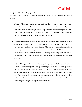

#### **Categories of Employee Engagement**

According to the Gallup the Consulting organization there are there are different types of people:-

- *Engaged--*"*Engaged*" employees are builders. They want to know the desired expectations for their role so they can meet and exceed them. They're naturally curious about their company and their place in it. They perform at consistently high levels. They want to use their talents and strengths at work every day. They work with passion and they drive innovation and move their organization forward
- *Not Engaged---Not-engaged* employees tend to concentrate on tasks rather than the goals and outcomes they are expected to accomplish. They want to be told what to do just so they can do it and say they have finished. They focus on accomplishing tasks vs. achieving an outcome. Employees who are *not-engaged* tend to feel their contributions are being overlooked, and their potential is not being tapped. They often feel this way because they don't have productive relationships with their managers or with their coworkers.
- *Actively Disengaged***-***-*The "*actively disengaged*" employees are the "cave dwellers." They're "Consistently against Virtually Everything." They're not just unhappy at work; they're busy acting out their unhappiness .They sow seeds of negativity at every opportunity. Every day, actively disengaged workers undermine what their engaged coworkers accomplish. As workers increasingly rely on each other to generate products and services, the problems and tensions that are fostered by *actively disengaged* workers can cause great damage to an organization's functioning .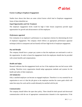

#### **Factors Leading to Employee Engagement-**

Studies have shown that there are some critical factors which lead to Employee engagement. Some of them identified are-

#### *Equal Opportunities and Fair Treatment*

The employee engagement levels would be high if their bosses (superiors) provide equal opportunities for growth and advancement to all the employees

#### *Performance appraisal*

Fair evaluation of an employee's performance is an important criterion for determining the level of employee engagement. The company which follows an appropriate performance appraisal technique (which is transparent and not biased) will have high levels of employee engagement.

#### *Pay and Benefits*

The company should have a proper pay system so that the employees are motivated to work in the organization. In order to boost his engagement levels the employees should also be provided with certain benefits and compensations.

#### *Health and Safety*

Research indicates that the engagement levels are low if the employee does not feel secure while working. Therefore every organization should adopt appropriate methods and systems for the health and safety of their employees.

#### *Job Satisfaction*

Only a satisfied employee can become an engaged employee. Therefore it is very essential for an organization to see to it that the job given to the employee matches his career goals which will make him enjoy his work and he would ultimately be satisfied with his job.

#### *Communication*

The company should follow the open door policy. There should be both upward and downward communication with the use of appropriate communication channels in the organization. If the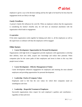

employee is given a say in the decision making and has the right to be heard by his boss than the engagement levels are likely to be high.

#### *Family Friendliness*

A person's family life influences his wok life. When an employee realizes that the organization is considering his family's benefits also, he will have an emotional attachment with the organization which leads to engagement

#### *Co-operation*

If the entire organization works together by helping each other i.e. all the employees as well as the supervisors co-ordinate well than the employees will be engaged

#### **Other factors**

#### **Career Development- Opportunities for Personal Development**

Organizations with high levels of engagement provide employees with opportunities to develop their abilities, learn new skills, acquire new knowledge and realize their potential. When companies plan for the career paths of their employees and invest in them in this way their people invest in them.

#### **Career Development – Effective Management of Talent**

Career development influences engagement for employees and retaining the most talented employees and providing opportunities for personal development.

#### **Leadership- Clarity of Company Values**

Employees need to feel that the core values for which their companies stand are unambiguous and clear.

#### **Leadership – Respectful Treatment of Employees**

Successful organizations show respect for each employee's qualities and contribution – regardless of their job level.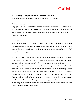

#### **Leadership – Company's Standards of Ethical Behaviour**

A company's ethical standards also lead to engagement of an individual

#### **Empowerment**

Employees want to be involved in decisions that affect their work. The leaders of high engagement workplaces create a trustful and challenging environment, in which employees are encouraged to dissent from the prevailing orthodoxy and to input and innovate to move the organization forward.

#### **Image**

How much employees are prepared to endorse the products and services which their company provides its customers depends largely on their perceptions of the quality of those goods and services. High levels of employee engagement are inextricably linked with high levels of customer engagement.

What is clear from the literature is that current thinking extends beyond job satisfaction. Employers are seeking a workforce which is more than just good at the job they do; they are seeking employees who are engaged with their organization/company, staff who "buy in" to the company mission and goals. It is also clear that no single factor is responsible for the satisfaction of the workforce and different staff members will be motivated by different aspects of the company offering, and their own approaches to work. The modern organization sees its' people as key assets to be developed and nurtured; they way in which they approach their work and their interactions with customers is critical to demonstrating the brand values of the company. Emergent models of engagement offer an alternative way of approaching employee satisfaction which is more holistic and takes into account the wider needs of both employees and employers.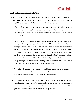

#### **Employee Engagement Practices In Airtel**

The most important drivers of growth and success for any organization are its people. The organization work to develop and nurture engagement. Airtel is considered to be the best in HR practices. Different practices that is detained by Airtel Bangladesh ltd are

- $\triangleright$  The HR department sets up cross-functional teams in times of product or service launches. ``Such teams typically constitute high performers from each department, who collectively make it happen. These approaches help to communicate every department with each other.
- $\triangleright$  Some of the other key HR initiatives include the managers' communication forum, open house, family group meetings, HR interface and HR intranet. To explain them, the managers' communication forum, undertaken once a quarter, facilitates direct interaction of the employees with the top management. They get to discuss issues relating to the performance of the previous quarter, directions for the next quarter, an update on the regulatory environment and the key initiatives for the period. The `open house' conducted between the departments and HR takes up individual grievances. In the case of family group meetings, each HOD conducts meetings with his direct reporters once a month, wherein issues other than those related to work are discussed.
- $\triangleright$  To further HR interface, every member of the HR department has been assigned two departments to discuss and sort out all HR, personnel and administration issues. `The idea is to provide employees with a single window to the department.
- $\triangleright$  The HR Intranet provides information on HR policies, organizational structure, training calendar and the house journal. With these initiatives, Airtel has won a special place in the Bharti group. The quality of service and customer care is a reflection of the quality of people and our belief in constant improvement and up gradation.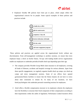

 $\triangleright$  Employee friendly HR policies have been put in place, which amply reflect the organizational concern for its people. Some typical examples of these policies and practices include



These policies and practices are applied across the organizational levels without any discrimination. From self-management workshops to aerobics sessions, we ensure that every employee keeps a check on his/her fitness. Tie-ups with leading health service organizations enable our employees to undertake periodical health check-ups depending upon their age.

- The company provides Flexible Group Medi claim insurance to all employees, covering all kinds of illnesses, accidents and hospital coverage for serious ailments. Apart from these specific engagements, we regularly organize health check up camps, eye check-up camps and stress management sessions. Some of our offices have opened gymnasiums/fitness facilities to ensure that the fitness fanatics do not have to worry about time constraints to remain fit. At many of our locations, we have hired psychologists who undertake personal counseling sessions for employees.
- $\triangleright$  Airtel offers a flexible compensation structure to its employees wherein the employees have the flexibility to structure their fixed component of their compensation according to their requirements within the ambit of legislation. Performance Linked Incentive (PLI)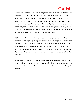

schemes are linked with the variable component of the compensation structure. This component is linked to both the individual performance against his/her set KRAs (Key Result Areas) and the overall performance of the business entity that an employee belongs to. Airtel leaders and managers understand the need to bring clarity to employees about how their roles, goals and actions align the realization of organizational vision and goals. The mechanisms like Performance Management System (PMS) and Talent Management Process(TMP) are the key sources of identifying the training needs of the employees and check to competency levels for promotion.

- $\triangleright$  ECF- Employee Communication Form is a sought of meeting or conference held once in a year or once in two year by the top management. In this meeting all the employees are suppose to gather in the conference hall. There follows open communication between employees and the top management, where employees are free to communicate or can discuss various issues coming up. Through these meetings employees get chance to get themselves fully engaged with the company and the issues or the new objectives of the company.
- $\triangleright$  In airtel there is a reward and recognition system which encourages the employees a lot. Every employee recognizes the best work done by their team members, seniors or juniors. Thanking everyone who ever helped in a simplest way or give a hand to get the job done.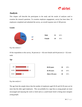

# **Analysis**

This chapter will describe the participants in the study and the results of analyses used to examine the research questions. To examine employee engagement, survey has been done. 50 employees completed and submitted the survey, an overall response rate of 100 percent.

**Gender**



Fig: data analysis 1

Of the respondents to this survey, 36 percent ( $n = 18$ ) were female and 64 percent ( $n = 32$ ) were male.

#### **Age**



Fig: data analysis 2

The age from the sample shows that the number of employees aged 20-26 and 26-30 years are lot more that the other aged employees. This can probably be a sign that as young people are more encouraged and enjoying the work in Airtel and as a youth brand Airtel is hiring more energetic young people.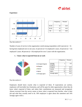

#### **Experience**



|           | Frequency | Percent |
|-----------|-----------|---------|
| $20 - 25$ | 10        | 20.0    |
| 26-30     | 22        | 44.0    |
| >30       | 18        | 36.0    |

Fig: data analysis 3

Number of years of service in the organization varied among respondents with 6 percent  $(n = 3)$ having been employed zero to one year; 22 percent  $(n=11)$  employed 2 years; 24 percent  $(n = 12)$ employed 3 years; 48 percent ( $n = 24$ ) employed for over 3 years with the organization.



#### **1. I know what is expected from me at work**

Fig: data analysis 4

Employees should know exactly what is expected of them. If expectations are unclear, employees will inevitably face frustration, and will be open for other opportunities where they do know what's expected of them, and where their contributions are measured and recognized. Almost everyone from the survey seems to know what is expected from him/her, what is their job and what they actually need to do. 36% employee is agree about this statement and 14% strongly agree with it.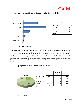



#### **2. I have the materials and equipment I need to do my work right**

Fig: data analysis 4

Employees need the right tools and equipment to support their skills, experience and talents  $\&$ perform their jobs at an optimum level. It can be seen that most of the employees are satisfied with their material and equipment. 50% of the employee is agreed and 32% of them is strongly agreed about the fact that they get right materials and equipment that they need to do their job perfectly.

#### **3. My supervisor seem to care about me as a person**



Fig: data analysis 5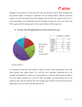

Managers must spend most of their time with their most productive talent. Many managers give their greatest degree of attention to employees who are falling behind. Talented, productive people crave time and attention from their managers, and will leave the company if they have a weak relationship (or no relationship) with their manager or supervisor. The survey shows that 50% is agree and 32% strongly agree to have a good relation with the supervisor.

#### 2% 16% 22% 46% 14%  $\blacksquare$  strongly disag **■** disagree **nutral** agree strongly agree Frequency Percent strongly disagree  $1 \quad 2.0$ disagree 8 16.0 neutral 11 22.0 agree 23 46.0 strongly agree 7 14.0

#### **4. At work, I have the opportunity to do what I do best every day**

Fig: data analysis 6

It is important to keep each team member's talents in mind, to build relationships, and to help others identify their unique talents. It is vital that every individual understands his or her strengths and weaknesses. A good way of promoting this is to discuss what each person believes his or her leading strengths are, in terms of skills, knowledge, and innate talents. 46% of the employee agree with the statement and 14% strongly agree with the statement that they got the opportunity at work to do the work what they do best.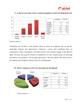



#### **5. In the last seven days, I have received recognition or praise for doing good work**

Workplaces that excelled in this question relied on forms of recognition that are specific, predictable, frequent, and instantaneous. Whenever a person does something, there are consequences. Those consequences will affect whether team members engage in that behavior again. We know that to get the results or consequences we want, frequent praise can encourage the behavior that produces it. 6% strongly agree about it and 42% agreed. That means most of the employee get recognition whenever they do something good.

**6. There is someone at work who encourages my development**



## Frequency **Percent** disagree 7 14.0 neutral 15 30.0 agree 20 40.0 strongly agree  $8$  16.0

Fig: data analysis 8

Fig: data analysis 7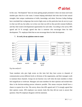# $\partial$  airtel

In this case, "development" does not mean getting people promoted. It does not mean each team member gets what he or she wants. It means helping individuals find roles that fit their natural strengths: their unique combinations of skills, knowledge, and talent. Previous Gallup findings have concluded that workgroups that receive high scores on this particular item do not try to put in what was left out, but rather, try to draw out what was left in; they provide constant feedback; and they find creative developmental opportunities for each other. According to the survey 40% agreed and 16 % strongly agreed that that is someone who encourages them for their development. 7% employee think that no one encourage them for their development.



#### **7. At work, do my opinions seem to count**

Team members who give high scores on this item feel they have access to channels of communication across different levels or divisions of the organization, and their managers work to maintain those channels. Groups do not function very well when the team members in them feel insignificant or irrelevant. Managers ask team members for their opinions and include their ideas in the decision-making process whenever possible. This means everyone should have a chance to express his or her. The survey shows that 40% agreed and 12 % strongly agreed that their opinion counts. 36% employee was neutral, looks like they did not want to answer that question. Only 6% employee disagrees with the statement.

Fig: data analysis 9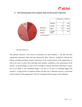



#### **8. The mission/purpose of my company make me feel my job is important**



This question measures a key source of motivation for team members — the idea that their organization represents values that they themselves share. Effective workplaces cultivate that feeling, including providing constant clarification of the overall mission of the organization, as well as the ways in which each individual team member contributes to the achievement of the mission. As human beings, we like to feel as though we belong. Individual achievement is great, but we are likely to stay committed longer if we feel we are part of something bigger than ourselves. A large portion of employee thinks that their job is important and has a association with the mission of the organization. Only 5% of employee did not agree on this statement.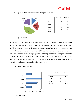



#### **9. My co-workers are committed to doing quality work**

Fig: data analysis 12

Workgroups that score well on this question tend to be good at providing clear quality standards and keeping those standards at the forefront of team members' minds. Thus, team members are capable of accurately evaluating their own performance, as well as that of their teammates. Clear communication of standards enhances accountability and builds trust among coworkers. We also know that not everyone will see "quality" in the same way if everyone's concept of the word is different. To remedy this, having a clear definition helps. The best place to start is with customers, both internal and external. 21% employee agreed and 11% employee strongly agreed that their co-workers are committed to doing quality work.



|  | 10.I have a friend at work |  |
|--|----------------------------|--|
|  |                            |  |

|                   | Frequency | Percent |
|-------------------|-----------|---------|
| disagree          |           | 14.0    |
| neutral           | 15        | 30.0    |
| agree             | 21        | 42.0    |
| strongly<br>agree |           | 14.0    |

Fig: data analysis 13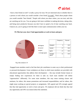# $\partial$  airtel

I have a best friend at work" is really a proxy for trust. We are interested only in whether there is a person at work whom you would consider a best friend "at work". Think about people whom you would consider "best friends." People with whom you share values, you can trust, and who are watching out for you. You are going to feel more confident in making decisions, taking risks, and being more productive because you don't have to spend a lot of time watching your back. Chances are, you're going to feel like there is more open communication within your tea



#### **11. This last year, have I had opportunities at work to learn and grow**

Fig: data analysis 14

Engaged team members need to feel that their job contributes in some way to their professional or personal development. Great workplaces are those in which team members are provided with educational opportunities that address their development — this may include formal classes or simply finding new experiences for them to take on. Each team member will define "opportunities" differently. For some team members, this may mean training classes and seminars; for others, this means promotions and increased responsibilities; and for others, this might mean working on special projects or assignments. 34% agreed and 22% strongly agreed that they had opportunity at work to learn and grow. 5% employee did not think that they had any opportunity and 34% was neutral about this statement.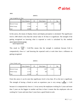

#### **ANOVA**

I\_got\_recognition\_in\_7days

|                       | Sum of Squares | Df | Mean Square | F     | Sig. |
|-----------------------|----------------|----|-------------|-------|------|
| <b>Between Groups</b> | 17.941         | 4  | 4.485       | 8.799 | .000 |
| Within Groups         | 22.939         | 45 | .510        |       |      |
| Total                 | 40.880         | 49 |             |       |      |

In this anova, the means of display choice and display perception is calculated. The significance level is .000 which is less than the critical value of .05 thus it is significant. The strength of the getting recognized on knowing what is expected at work is calculated by this method: sum of squares between groups sum of squares total

This result in:  $\frac{17.941}{40.0}$  = 0.44. This means that the strength is moderate because 0.44 is comparatively close to 1 and knowing the expected work at work does have a influence on getting recognized.

#### **ANOVA**

I\_have\_Friends\_work

|                       | Sum of Squares | Df | Mean Square | F      | Sig. |
|-----------------------|----------------|----|-------------|--------|------|
| <b>Between Groups</b> | 17.570         | 3  | 5.857       | 11.842 | .000 |
| Within Groups         | 22.750         | 46 | .495        |        |      |
| Total                 | 40.320         | 49 |             |        |      |

From this anova it can be seen that significance level is less than .05 so the test is significant. The strength of having a friend at work on experience year is very strong ( $\frac{18}{40.320}$ ) = 0.45 because it is comparatively close to 1. In my survey the employees working for 3 years and more than 3 years are the biggest in number and thus in here it means that the employees who are working for 3 years and more than 3 years have a good friend at work.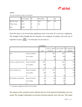

#### **ANOVA**

My\_work\_associates\_do\_their\_work\_perfectly

|                       | Sum of Squares | Df  | Mean Square | F     | Sig. |
|-----------------------|----------------|-----|-------------|-------|------|
| <b>Between Groups</b> | 6.807          | ∠   | 3.404       | 4.073 | .023 |
| Within Groups         | 39.273         | .47 | .836        |       |      |
| Total                 | 46.080         | -49 |             |       |      |

From this anova it can be seen that significance level is less than .05 so the test is significant. The strength of them thought that the associates of an employee do quality work with year of experience is poor  $\left(\frac{6.807}{46.080}\right) = 0.14$  because it is not close to 1.

|                            |                            | <b>Correlations</b> |           |           |                                                                    |
|----------------------------|----------------------------|---------------------|-----------|-----------|--------------------------------------------------------------------|
|                            |                            | year                | d_from_me | ork       | I_what_is_expecte   I_have_Friends_w   My_Oppinion_cou<br>nts@work |
| Year                       | <b>Pearson Correlation</b> |                     | $.586*$   | $.656$ ** | .209                                                               |
|                            | Sig. (2-tailed)            |                     | .000      | .000      | .144                                                               |
|                            | N                          | 50                  | 50        | 50        | 50                                                                 |
| I_what_is_expected_from_me | Pearson Correlation        | $.586*$             |           | $.442**$  | .050                                                               |
|                            | Sig. (2-tailed)            | .000                |           | .001      | .732                                                               |
|                            | N                          | 50                  | 50        | 50        | 50                                                                 |
| I_have_Friends_work        | <b>Pearson Correlation</b> | $.656*$             | $.442$ *  |           | .220                                                               |
|                            | Sig. (2-tailed)            | .000                | .001      |           | .125                                                               |
|                            | N                          | 50                  | 50        | 50        | 50                                                                 |
| My_Oppinion_counts@work    | <b>Pearson Correlation</b> | .209                | .050      | .220      |                                                                    |
|                            | Sig. (2-tailed)            | .144                | .732      | .125      |                                                                    |
|                            | N                          | 50                  | 50        | 50        | 50                                                                 |

\*\*. Correlation is significant at the 0.01 level (2-tailed).

The analysis of the correlation matrix indicates that few of the observed relationships were very strong. The strongest relationship was between knowing expected work with year. This means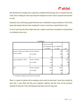# $\partial$  airtel

that obviously the working year is positively correlated with knowing what is expected from the work; hence working for more years helps the employees to know what is expected from him/her at work.

Experience year and having a good friend also has a moderately strong correlation of .656 which means that people who have been working for 3 years or more have a good friend at work.

It can be seen from the above figure that one's opinion count does not depend on having friend or working for more years.

|                                                                        | <b>Correlations</b>                             |                                    |                                                   |                     |
|------------------------------------------------------------------------|-------------------------------------------------|------------------------------------|---------------------------------------------------|---------------------|
|                                                                        |                                                 | necessary_material<br>re_available | _and_equipment_a   I_got_recognition_<br>in_7days | year                |
| necessary_material_and_equipm Pearson Correlation<br>ent are available | Sig. (2-tailed)                                 |                                    | .238<br>.096                                      | $.388^{**}$<br>.005 |
|                                                                        | $\mathbf N$                                     | 50                                 | 50                                                | 50                  |
| I_got_recognition_in_7days                                             | <b>Pearson Correlation</b><br>$Sig. (2-tailed)$ | .238<br>.096                       |                                                   | $.683**$<br>.000    |
|                                                                        | N                                               | 50                                 | 50                                                | 50                  |
| Year                                                                   | <b>Pearson Correlation</b>                      | $.388^{**}$                        | $.683**$                                          |                     |
|                                                                        | $Sig. (2-tailed)$                               | .005                               | .000                                              |                     |
|                                                                        | N                                               | 50                                 | 50                                                | 50                  |

\*\*. Correlation is significant at the 0.01 level (2-tailed).

There I s a good co relation with an employee who works for more than 3 years have worked for more than 3 years think that they got recognition regularly and they have all the necessary materials for their job. That's the thing that kept them work for long years.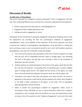

# **Discussion of Results**

#### **Justification of Hypothesis**

The survey instrument was designed to measure participants' levels of engagement with their jobs. After conducting different survey and interview, it has been understand that the hypothesis

- 1. Effective approaches have been taken by Airtel Bangladesh Ltd
- 2. Engagement leads to higher performance and
- 3. Satisfaction leads to engagement is correct.

Explanation for the overall level of participant engagement among those taking this survey is that the organization was providing the three key psychological conditions of engagement: meaningfulness, safety, and availability to their employees. In this survey, questions were asked to find out the condition of meaningfulness. Meaningfulness can be described as a feeling that one is receiving a return on one's investment of oneself in one's work. Staff members experience meaningfulness when they feel worthwhile, useful and valuable.

- One of the Survey question asks participants if they have received recognition for doing their job well. 50% of respondents answered "agree to strongly agree," thus indicating that staff in this agency felt that they were receiving a return on the investment of themselves into their job tasks.
- Another question was asked participants if the mission of the agency made them feel like the work they did mattered. A resounding 54% of respondents gave a positive (slightly agree to strongly agree) answer. This implies that the mission of this agency was made clear to the staff and that the employees felt positive about the work the agency did.
- Participants were asked if their ideas and opinions were taken seriously. An answer in agreement to this question would indicate that the employee felt valued, and as though he or she made a useful contribution to the agency. In this study, 51% of respondents indicated agreement with the statement.
- Safety as another key psychological condition for engagement. Safety occurs in environments where individuals are free to express themselves without fear of negative consequences, and in settings where the boundaries are clear and organizational norms are known. One of the questions on the "Employee Engagement" scale used in this study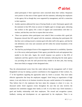

asked participants if their supervisors seem concerned about their welfare. Responses were positive in that most of them agreed with the statement, indicating that employees in this agency felt as though they were supported by management, and felt a connection to their superiors.

- Another question addressed the issue of having friends at work. Participants agreed with the statement in that 56% chose an answer of slightly agree to strongly agree, indicating that workers in this agency felt a sense of support and connectedness with their coworkers, and that they were free to express their true selves.
- There was question where participants were asked if their co-workers did a good job. Responses showed that 62% agreed with the statement, indicating that participants felt that they were working toward a common goal with other staff in the agency, and that the role definitions were clear and consistent and fell within the normal boundaries of the organization.
- The final key psychological factor of the engagement framework is availability. Question six of the survey asked participants if their agency provided the tools and equipment they needed to do their jobs. Again, the overall response was positive in that 82% of employees said they agreed at least with the statement, indicating that the study agency was providing the tools the staff perceived they needed to do their jobs, thus leaving them more likely to engage in their designated roles.

Thus the aforementioned scores from this study indicate that the management staff of Airtel Bangladesh Ltd may be making a positive contribution to the engagement of their workers. So, 1<sup>st</sup> of the hypothesis regarding the approaches taken by Airtel is accurate. They have taken effective approaches that keep the employees engaged. Airtel being an organization of high stature, it not only thrives in its business incentives but pays careful attention of its employees. They believe that it's the employees that have taken the company to where it is now. As discussed earlier Airtel organizes events throughout the year that not only involves the employees but sometimes engages their family as well. It is by these ways Airtel maintains a good and healthy relationship with their employees. The reward and recognition system, feedback, training and development etc are appreciated by the employees. There is no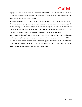

segregation between the workers and everyone is treated the same. In order to maintain high quality events throughout the year, the employees are asked to give their feedbacks on events and Airtel tries its best to improve the events.

As mentioned earlier, Airtel values for its employees and heeds their opinion and suggestions. There are seasonal surveys and also one on one session to understand any situation regarding almost anything. All the events and programs that run through the calendar are products of this interactive information from the employees. Their problems, demands, expectations are all taken in account. Privacy is strongly maintained to ensure a strong work environment.

Based on the feedback of surveys and departmental researches, it has been confirmed that the employees are satisfied with the current management. The involvement of both social life and work has been substantial for the workers. The company proudly affirms that it is the satisfaction of the staffs that helped to company to become very successful in this short margin of time and acknowledges the efficiency of the employees in their work.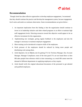

# **Recommendation**

Though Airtel has taken effective approaches to develop employee engagement, I recommend that they should continue the practice and develop the management system, because engagement level varies and needs on continues observation. Some recommendations are given below:-

- 1. An important implication from this finding is that the organization should continue to invest in its leadership initiative and other related programs in an effort to maintain high staff engagement levels. Directing resources toward this objective would appear to be an effective investment for this organization.
- 2. Implementing new strategies, giving regular feedback to the employees and also the manager is necessary to maintain employee engagement.
- 3. More training can be introduced to improve skills of the employees.
- 4. Work pressure of the employees should be reduced by hiring more people and distributing work among them.
- 5. Airtel depends a lot on Bdjobs.com for getting CVs for Territory Manager, Key Account Manager, Manager Compliance; most of the time good CVs are not found there so then HR takes people from reference which is time consuming, as a result HR cannot meet the demand of different departments in supplying employees as they require.
- 6. Airtel should verify the original educational documents of the personnel to get talented and qualified employees.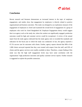

## **Conclusion**

Recent research and literature demonstrate an increased interest in the topic of employee engagement, and studies show that engagement by employees is directly related to positive organizational and business outcomes. This study was designed as an exploratory measure of the engagement of employees in Airtel and examined the overall level of engagement of a group of employees who work for Airtel Bangladesh ltd. Employee Engagement theory would suggest that in an agency such as the study site, where the workers are significantly engaged, production outcomes would be high and customer service would be exceptional. A review of the annual report from the study agency indicated that the study agency met or exceeded the standards and indicators for the fiscal year in which the study was conducted. In fact, the agency reported a 67.1% success rate for outcomes with clients. Further, agency reports showed that 98% of the 1,900 clients surveyed reported that they were treated with respect from the staff, and 93% of clients said the agency services were readily available to them. Therefore, a major finding of this study was that the high staff engagement levels may have some correlation with the organizations' high production outcomes and quality customer service reports. Further research is suggested to explore the possible connection.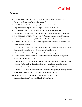

#### **References**

- 1. AIRTEL BANGLADESH (2011) Airtel Bangladesh Limited. Available from: [http://www.bd.airtel.com](http://www.bd.airtel.com/) [Accessed 27/12/2012]
- 2. AIRTEL BANGLA (2013) Airtel\_Bangla [online]. Available from: [http://en.wikipedia.org/wiki/Airtel\\_Bangla.](http://en.wikipedia.org/wiki/Airtel_Bangla) [Accessed 01/03/2013]
- 3. TELECOMMUNICATIONS IN BANGLADESH (2013). Available from: http://en.wikipedia.org/wiki/Telecommunications\_in\_Bangladesh.[Accessed 20/05/2013]
- 4. DESSLER, G. & VARKKEY, B. ; (2011) Performance Management and Appraisal. Human Resource Management; 11<sup>th</sup> Edition. India; Pearson Prentice Hall.
- 5. ROBBINS, S.P. & JUDGE, T.A.; (2010) Organizational Behavior; 13<sup>th</sup> Edition. New Jersey; Pearson Education.
- 6. MORGAN, C.A.; White Paper; Understanding and developing your asset (people); B2B International Market Research with Intelligence. Available from: http://www.b2binternational.com/publications/white-papers/employee-satisfaction
- 7. Archie Thomas, CMA & Ann MacDi Anmid; Encouraging Employee Engagement; CMA Management; Jun/Jul 2004.
- 8. ROBERTSON, I; (2012) The Importance Of Employee Engagement In Difficult Times; Guardian Professional; Available from: [http://www.guardian.co.uk/public-leaders](http://www.guardian.co.uk/public-leaders-network/2012/may/03/importance-employee-engagement-difficult-times)[network/2012/may/03/importance-employee-engagement-difficult-times](http://www.guardian.co.uk/public-leaders-network/2012/may/03/importance-employee-engagement-difficult-times)
- 9. Ellehuus, C. & Hudson, P.; Performance and Retention Through Employee Engagement; Corporate leadership council 2004; Employee Engagement Survey.
- 10. Wikipedia n.d., *Work Life Balance*. Retrieved May 15 2012, from [http://en.wikipedia.org/wiki/Work%E2%80%93life\\_balance](http://en.wikipedia.org/wiki/Work%E2%80%93life_balance)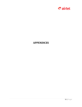

# **APPENDICES**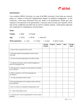

#### **Questionnaire:**

I am a student of BRAC University. As a part of the BBA curriculum, I have taken up a research project on "Impact of Perceived Organizational Support on Employee Engagement". In this connection, I need some information from you. Below is the questionnaire. Kindly give your responses to the questions in the questionnaire. I sincerely assure you that your responses will be kept strictly confidential and shall only be used for academic purpose. I shall greatly appreciate your cooperation in completing my research project.

#### **Name:**

| Gender: | a. Male    | b. Female  |             |
|---------|------------|------------|-------------|
| Age:    | a. $20-25$ | $b. 26-30$ | c. above 30 |

**Work experience:** a. 1 year b. 2 Years c. 3 years' d. above 3 years

|                                                                                         | <b>Strongly</b><br><b>Disagree</b> | <b>Disagree</b> | <b>Neutral</b> | Agree | <b>Strongly</b><br>Agree |
|-----------------------------------------------------------------------------------------|------------------------------------|-----------------|----------------|-------|--------------------------|
| 1. I know what is expected of me at work                                                |                                    |                 |                |       |                          |
| 2. I have the materials and equipment I need to do my<br>work right                     |                                    |                 |                |       |                          |
| 3. At work, I have the opportunity to do what I do best                                 |                                    |                 |                |       |                          |
| 4. In the last seven days, I have received recognition or<br>praise for doing good work |                                    |                 |                |       |                          |
| 5. My supervisor, or someone at work, seems to care about<br>me as a person?            |                                    |                 |                |       |                          |
| 6. There is someone at work who encourages my<br>development                            |                                    |                 |                |       |                          |
| 7. At work, my opinions seem to count                                                   |                                    |                 |                |       |                          |
| 8. The mission/purpose of my company make me feel my<br>job is important                |                                    |                 |                |       |                          |
| 9. My co-workers are committed to doing quality work                                    |                                    |                 |                |       |                          |
| 10. I have a best friend at work                                                        |                                    |                 |                |       |                          |
| 11. This last year, I have had opportunities at work to learn<br>and grow               |                                    |                 |                |       |                          |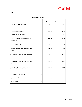

|                                                    | N  | Mean   | Std. Deviation |
|----------------------------------------------------|----|--------|----------------|
| I_what_is_expected_from_me                         | 50 | 3.4600 | .97332         |
|                                                    |    |        |                |
| I_got_opportunities@work                           | 50 | 3.5400 | .99406         |
| I_got_recognition_in_7days                         | 50 | 3.3200 | .91339         |
| there_is_someone_who_encourage_my_<br>development  | 50 | 3.5800 | .92780         |
| I_have_Friends_work                                | 50 | 3.5600 | .90711         |
| necessary_material_and_equipment_are_<br>available | 50 | 4.1000 | .78895         |
| My_Supervisor_treat_me_and_encorage_<br>me         | 50 | 3.5400 | .78792         |
| My_work_associates_do_their_work_perf<br>ectly     | 50 | 3.7200 | .96975         |
| I_know_the_Mission_of_the_company                  | 50 | 3.5400 | .81341         |
| My_Oppinion_counts@work                            | 50 | 3.5200 | .86284         |
| Opportunity_in_last_year                           | 50 | 3.6800 | .93547         |
| Valid N (listwise)                                 | 50 |        |                |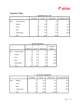

## **Frequency Table:**

|       | expectation from work |           |         |               |                    |  |
|-------|-----------------------|-----------|---------|---------------|--------------------|--|
|       |                       | Frequency | Percent | Valid Percent | Cumulative Percent |  |
| Valid | strongly disagree     |           | 2.0     | 2.0           | 2.0                |  |
|       | disagree              |           | 14.0    | 14.0          | 16.0               |  |
|       | nutral                | 17        | 34.0    | 34.0          | 50.0               |  |
|       | agree                 | 18        | 36.0    | 36.0          | 86.0               |  |
|       | strongly agree        |           | 14.0    | 14.0          | 100.0              |  |
|       | Total                 | 50        | 100.0   | 100.0         |                    |  |

### 1. **expectation\_from\_work**

#### 2. **opportunities@work**

|       |                   | Frequency | Percent | Valid Percent | Cumulative<br>Percent |
|-------|-------------------|-----------|---------|---------------|-----------------------|
| Valid | strongly disagree |           | 2.0     | 2.0           | 2.0                   |
|       | disagree          | 8         | 16.0    | 16.0          | 18.0                  |
|       | nutral            | 11        | 22.0    | 22.0          | 40.0                  |
|       | agree             | 23        | 46.0    | 46.0          | 86.0                  |
|       | strongly agree    |           | 14.0    | 14.0          | 100.0                 |
|       | Total             | 50        | 100.0   | 100.0         |                       |

#### 3. **encourage\_development**

|       |                | Frequency | Percent | <b>Valid Percent</b> | Cumulative Percent |
|-------|----------------|-----------|---------|----------------------|--------------------|
| Valid | disagree       |           | 14.0    | 14.0                 | 14.0               |
|       | nutral         | 15        | 30.0    | 30.0                 | 44.0               |
|       | agree          | 20        | 40.0    | 40.0                 | 84.0               |
|       | strongly agree | 8         | 16.0    | 16.0                 | 100.0              |
|       | Total          | 50        | 100.0   | 100.0                |                    |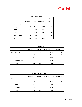

|       |                   | Frequency | Percent | Valid Percent | Cumulative<br>Percent |
|-------|-------------------|-----------|---------|---------------|-----------------------|
| Valid | strongly disagree |           | 2.0     | 2.0           | 2.0                   |
|       | disagree          | 9         | 18.0    | 18.0          | 20.0                  |
|       | nutral            | 16        | 32.0    | 32.0          | 52.0                  |
|       | agree             | 21        | 42.0    | 42.0          | 94.0                  |
|       | strongly agree    | 3         | 6.0     | 6.0           | 100.0                 |
|       | Total             | 50        | 100.0   | 100.0         |                       |

#### 4. **recognition\_in\_7days**

|       |                | J.<br>1151UWWU1R |         |                      |                           |  |
|-------|----------------|------------------|---------|----------------------|---------------------------|--|
|       |                | Frequency        | Percent | <b>Valid Percent</b> | <b>Cumulative Percent</b> |  |
| Valid | disagree       |                  | 14.0    | 14.0                 | 14.0                      |  |
|       | nutral         | 15               | 30.0    | 30.0                 | 44.0                      |  |
|       | agree          | 21               | 42.0    | 42.0                 | 86.0                      |  |
|       | strongly agree | 7                | 14.0    | 14.0                 | 100.0                     |  |
|       | Total          | 50               | 100.0   | 100.0                |                           |  |

#### 5. **Friend@work**

6. **material\_and\_equipment**

|       |                | Frequency | Percent | <b>Valid Percent</b> | <b>Cumulative Percent</b> |
|-------|----------------|-----------|---------|----------------------|---------------------------|
| Valid | disagree       | 2         | 4.0     | 4.0                  | 4.0                       |
|       | nutral         | 7         | 14.0    | 14.0                 | 18.0                      |
|       | agree          | 25        | 50.0    | 50.0                 | 68.0                      |
|       | strongly agree | 16        | 32.0    | 32.0                 | 100.0                     |
|       | Total          | 50        | 100.0   | 100.0                |                           |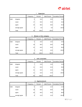# *Dairtel*

|       |                | $\mathcal{L}$<br><b>Supervisor</b> |         |               |                           |  |  |
|-------|----------------|------------------------------------|---------|---------------|---------------------------|--|--|
|       |                | Frequency                          | Percent | Valid Percent | <b>Cumulative Percent</b> |  |  |
| Valid | disagree       | 5                                  | 10.0    | 10.0          | 10.0                      |  |  |
|       | nutral         | 17                                 | 34.0    | 34.0          | 44.0                      |  |  |
|       | agree          | 24                                 | 48.0    | 48.0          | 92.0                      |  |  |
|       | strongly agree | 41                                 | 8.0     | 8.0           | 100.0                     |  |  |
|       | Total          | 50                                 | 100.0   | 100.0         |                           |  |  |

### 7. **Supervisor**

#### 8. **Mission\_of\_the\_company**

|       |                | Frequency | Percent | <b>Valid Percent</b> | Cumulative Percent |
|-------|----------------|-----------|---------|----------------------|--------------------|
| Valid | disagree       | 5         | 10.0    | 10.0                 | 10.0               |
|       | nutral         | 18        | 36.0    | 36.0                 | 46.0               |
|       | agree          | 22        | 44.0    | 44.0                 | 90.0               |
|       | strongly agree | 5         | 10.0    | 10.0                 | 100.0              |
|       | Total          | 50        | 100.0   | 100.0                |                    |

#### 9. **work\_associates**

|       |                | Frequency | Percent | Valid Percent | <b>Cumulative Percent</b> |
|-------|----------------|-----------|---------|---------------|---------------------------|
| Valid | disagree       | 7         | 14.0    | 14.0          | 14.0                      |
|       | nutral         | 11        | 22.0    | 22.0          | 36.0                      |
|       | agree          | 21        | 42.0    | 42.0          | 78.0                      |
|       | strongly agree | 11        | 22.0    | 22.0          | 100.0                     |
|       | Total          | 50        | 100.0   | 100.0         |                           |

#### 10. **Oppinion@work**

|       |                | Frequency | Percent | <b>Valid Percent</b> | <b>Cumulative Percent</b> |
|-------|----------------|-----------|---------|----------------------|---------------------------|
| Valid | disagree       | 6         | 12.0    | 12.0                 | 12.0                      |
|       | nutral         | 18        | 36.0    | 36.0                 | 48.0                      |
|       | agree          | 20        | 40.0    | 40.0                 | 88.0                      |
|       | strongly agree | 6         | 12.0    | 12.0                 | 100.0                     |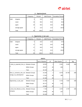

|       |                | $10.$ Opplinum wurk |         |                      |                           |  |  |
|-------|----------------|---------------------|---------|----------------------|---------------------------|--|--|
|       |                | Frequency           | Percent | <b>Valid Percent</b> | <b>Cumulative Percent</b> |  |  |
| Valid | disagree       | 6                   | 12.0    | 12.0                 | 12.0                      |  |  |
|       | nutral         | 18                  | 36.0    | 36.0                 | 48.0                      |  |  |
|       | agree          | 20                  | 40.0    | 40.0                 | 88.0                      |  |  |
|       | strongly agree | 6                   | 12.0    | 12.0                 | 100.0                     |  |  |
|       | Total          | 50                  | 100.0   | 100.0                |                           |  |  |

#### 10. **Oppinion@work**

11. **Opportunity\_in\_last\_year**

|       |                | Frequency | Percent | <b>Valid Percent</b> | <b>Cumulative Percent</b> |
|-------|----------------|-----------|---------|----------------------|---------------------------|
| Valid | disagree       | 5         | 10.0    | 10.0                 | 10.0                      |
|       | nutral         | 17        | 34.0    | 34.0                 | 44.0                      |
|       | agree          | 17        | 34.0    | 34.0                 | 78.0                      |
|       | strongly agree | 11        | 22.0    | 22.0                 | 100.0                     |
|       | Total          | <b>50</b> | 100.0   | 100.0                |                           |

|                                           |                       | <b>ANOVA</b>   |    |             |        |      |
|-------------------------------------------|-----------------------|----------------|----|-------------|--------|------|
|                                           |                       | Sum of Squares | df | Mean Square | F      | Sig. |
| I_what_is_expected_from_m Between Groups  |                       | 16.503         | 3  | 5.501       | 8.459  | .000 |
| le                                        | <b>Within Groups</b>  | 29.917         | 46 | .650        |        |      |
|                                           | Total                 | 46.420         | 49 |             |        |      |
| there is someone who enc Between Groups   |                       | 24.236         | 3  | 8.079       | 20.709 | .000 |
| ourage_my_development                     | <b>Within Groups</b>  | 17.944         | 46 | .390        |        |      |
|                                           | Total                 | 42.180         | 49 |             |        |      |
| Opportunity_in_last_year                  | <b>Between Groups</b> | 14.169         | 3  | 4.723       | 7.567  | .000 |
|                                           | <b>Within Groups</b>  | 28.711         | 46 | .624        |        |      |
|                                           | Total                 | 42.880         | 49 |             |        |      |
| I_know_the_Mission_of_the_ Between Groups |                       | 7.726          | 3  | 2.575       | 4.797  | .005 |
| company                                   | <b>Within Groups</b>  | 24.694         | 46 | .537        |        |      |
|                                           | Total                 | 32.420         | 49 |             |        |      |

58 | Page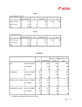# *Dairtel*

#### **ANOVA**

I\_got\_recognition\_in\_7days

|                       | Sum of Squares | df | Mean Square | F     | Sig. |
|-----------------------|----------------|----|-------------|-------|------|
| <b>Between Groups</b> | 17.941         | 4  | 4.485       | 8.799 | .000 |
| Within Groups         | 22.939         | 45 | .510        |       |      |
| Total                 | 40.880         | 49 |             |       |      |

#### **ANOVA**

I\_have\_Friends\_work

|                       | Sum of Squares | Df | Mean Square | F      | Sig. |
|-----------------------|----------------|----|-------------|--------|------|
| <b>Between Groups</b> | 17.570         | 3  | 5.857       | 11.842 | .000 |
| Within Groups         | 22.750         | 46 | .495        |        |      |
| Total                 | 40.320         | 49 |             |        |      |

#### **Correlations**

|                                            |                     |                     |                   |                     | Mission_of_the expectation_from_ |
|--------------------------------------------|---------------------|---------------------|-------------------|---------------------|----------------------------------|
|                                            |                     | year                | Friend@work       | company             | work                             |
| year                                       | Pearson Correlation |                     | .656 <sup>°</sup> | .444                | .586                             |
|                                            | Sig. (2-tailed)     |                     | .000              | .001                | .000                             |
|                                            | N                   | 50                  | 50                | 50                  | 50                               |
| Friend@work                                | Pearson Correlation | .656                |                   | $.439$ <sup>*</sup> | $.442$ <sup>**</sup>             |
|                                            | Sig. (2-tailed)     | .000                |                   | .001                | .001                             |
|                                            | N                   | 50                  | 50                | 50                  | 50                               |
| Mission_of_the_company Pearson Correlation |                     | $.444$ <sup>*</sup> | $.439^{n}$        |                     | .170                             |
|                                            | Sig. (2-tailed)     | .001                | .001              |                     | .239                             |
|                                            | N                   | 50                  | 50                | 50                  | 50                               |
| expectation_from_work                      | Pearson Correlation | .586                | .442              | .170                | 1                                |
|                                            | Sig. (2-tailed)     | .000                | .001              | .239                |                                  |
|                                            | N                   | 50                  | 50                | 50                  | 50                               |

\*\*. Correlation is significant at the 0.01 level (2-tailed).